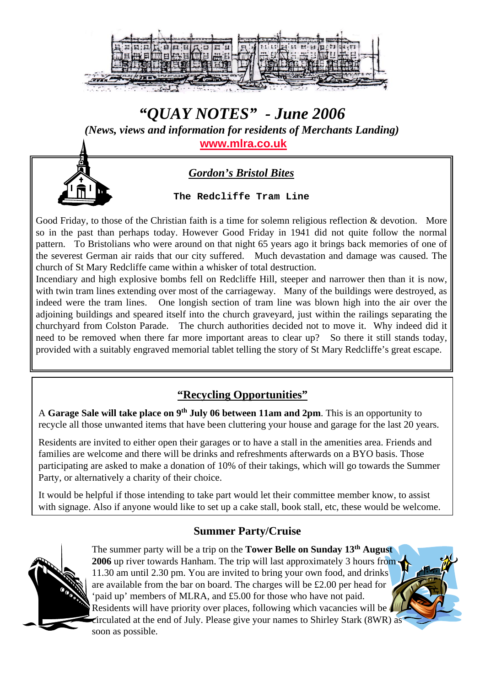

# *"QUAY NOTES" - June 2006 (News, views and information for residents of Merchants Landing)* **[www.mlra.co.uk](http://www.mlra.co.uk/)**

## *Gordon's Bristol Bites*

**The Redcliffe Tram Line**

Good Friday, to those of the Christian faith is a time for solemn religious reflection & devotion. More so in the past than perhaps today. However Good Friday in 1941 did not quite follow the normal pattern. To Bristolians who were around on that night 65 years ago it brings back memories of one of the severest German air raids that our city suffered. Much devastation and damage was caused. The church of St Mary Redcliffe came within a whisker of total destruction.

Incendiary and high explosive bombs fell on Redcliffe Hill, steeper and narrower then than it is now, with twin tram lines extending over most of the carriageway. Many of the buildings were destroyed, as indeed were the tram lines. One longish section of tram line was blown high into the air over the adjoining buildings and speared itself into the church graveyard, just within the railings separating the churchyard from Colston Parade. The church authorities decided not to move it. Why indeed did it need to be removed when there far more important areas to clear up? So there it still stands today, provided with a suitably engraved memorial tablet telling the story of St Mary Redcliffe's great escape.

## **"Recycling Opportunities"**

A **Garage Sale will take place on 9th July 06 between 11am and 2pm**. This is an opportunity to recycle all those unwanted items that have been cluttering your house and garage for the last 20 years.

Residents are invited to either open their garages or to have a stall in the amenities area. Friends and families are welcome and there will be drinks and refreshments afterwards on a BYO basis. Those participating are asked to make a donation of 10% of their takings, which will go towards the Summer Party, or alternatively a charity of their choice.

It would be helpful if those intending to take part would let their committee member know, to assist with signage. Also if anyone would like to set up a cake stall, book stall, etc, these would be welcome.

### **Summer Party/Cruise**



The summer party will be a trip on the **Tower Belle on Sunday 13th August 2006** up river towards Hanham. The trip will last approximately 3 hours from. 11.30 am until 2.30 pm. You are invited to bring your own food, and drinks are available from the bar on board. The charges will be £2.00 per head for 'paid up' members of MLRA, and £5.00 for those who have not paid. Residents will have priority over places, following which vacancies will be circulated at the end of July. Please give your names to Shirley Stark (8WR) as soon as possible.